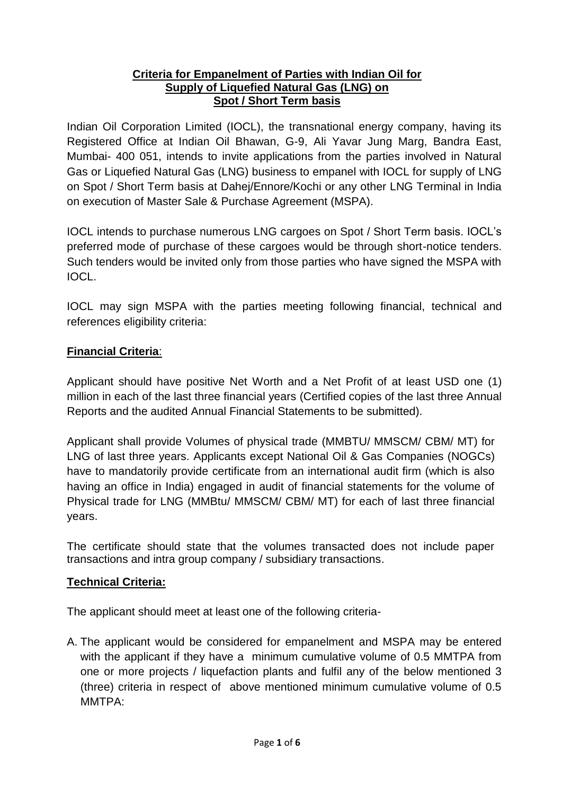#### **Criteria for Empanelment of Parties with Indian Oil for Supply of Liquefied Natural Gas (LNG) on Spot / Short Term basis**

Indian Oil Corporation Limited (IOCL), the transnational energy company, having its Registered Office at Indian Oil Bhawan, G-9, Ali Yavar Jung Marg, Bandra East, Mumbai- 400 051, intends to invite applications from the parties involved in Natural Gas or Liquefied Natural Gas (LNG) business to empanel with IOCL for supply of LNG on Spot / Short Term basis at Dahej/Ennore/Kochi or any other LNG Terminal in India on execution of Master Sale & Purchase Agreement (MSPA).

IOCL intends to purchase numerous LNG cargoes on Spot / Short Term basis. IOCL's preferred mode of purchase of these cargoes would be through short-notice tenders. Such tenders would be invited only from those parties who have signed the MSPA with IOCL.

IOCL may sign MSPA with the parties meeting following financial, technical and references eligibility criteria:

### **Financial Criteria**:

Applicant should have positive Net Worth and a Net Profit of at least USD one (1) million in each of the last three financial years (Certified copies of the last three Annual Reports and the audited Annual Financial Statements to be submitted).

Applicant shall provide Volumes of physical trade (MMBTU/ MMSCM/ CBM/ MT) for LNG of last three years. Applicants except National Oil & Gas Companies (NOGCs) have to mandatorily provide certificate from an international audit firm (which is also having an office in India) engaged in audit of financial statements for the volume of Physical trade for LNG (MMBtu/ MMSCM/ CBM/ MT) for each of last three financial years.

The certificate should state that the volumes transacted does not include paper transactions and intra group company / subsidiary transactions.

### **Technical Criteria:**

The applicant should meet at least one of the following criteria-

A. The applicant would be considered for empanelment and MSPA may be entered with the applicant if they have a minimum cumulative volume of 0.5 MMTPA from one or more projects / liquefaction plants and fulfil any of the below mentioned 3 (three) criteria in respect of above mentioned minimum cumulative volume of 0.5 MMTPA: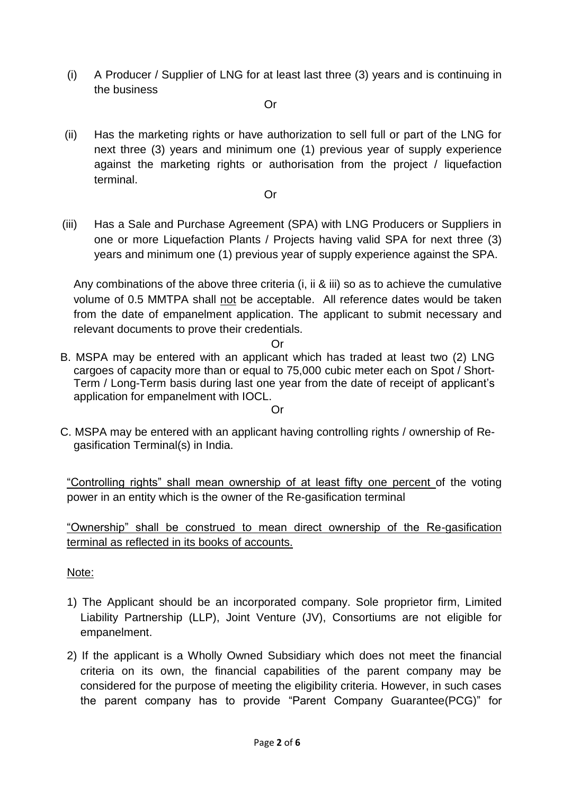(i) A Producer / Supplier of LNG for at least last three (3) years and is continuing in the business

Or

(ii) Has the marketing rights or have authorization to sell full or part of the LNG for next three (3) years and minimum one (1) previous year of supply experience against the marketing rights or authorisation from the project / liquefaction terminal.

Or

(iii) Has a Sale and Purchase Agreement (SPA) with LNG Producers or Suppliers in one or more Liquefaction Plants / Projects having valid SPA for next three (3) years and minimum one (1) previous year of supply experience against the SPA.

Any combinations of the above three criteria (i, ii & iii) so as to achieve the cumulative volume of 0.5 MMTPA shall not be acceptable. All reference dates would be taken from the date of empanelment application. The applicant to submit necessary and relevant documents to prove their credentials.

Or

- B. MSPA may be entered with an applicant which has traded at least two (2) LNG cargoes of capacity more than or equal to 75,000 cubic meter each on Spot / Short-Term / Long-Term basis during last one year from the date of receipt of applicant's application for empanelment with IOCL. Or
- C. MSPA may be entered with an applicant having controlling rights / ownership of Regasification Terminal(s) in India.

"Controlling rights" shall mean ownership of at least fifty one percent of the voting power in an entity which is the owner of the Re-gasification terminal

"Ownership" shall be construed to mean direct ownership of the Re-gasification terminal as reflected in its books of accounts.

Note:

- 1) The Applicant should be an incorporated company. Sole proprietor firm, Limited Liability Partnership (LLP), Joint Venture (JV), Consortiums are not eligible for empanelment.
- 2) If the applicant is a Wholly Owned Subsidiary which does not meet the financial criteria on its own, the financial capabilities of the parent company may be considered for the purpose of meeting the eligibility criteria. However, in such cases the parent company has to provide "Parent Company Guarantee(PCG)" for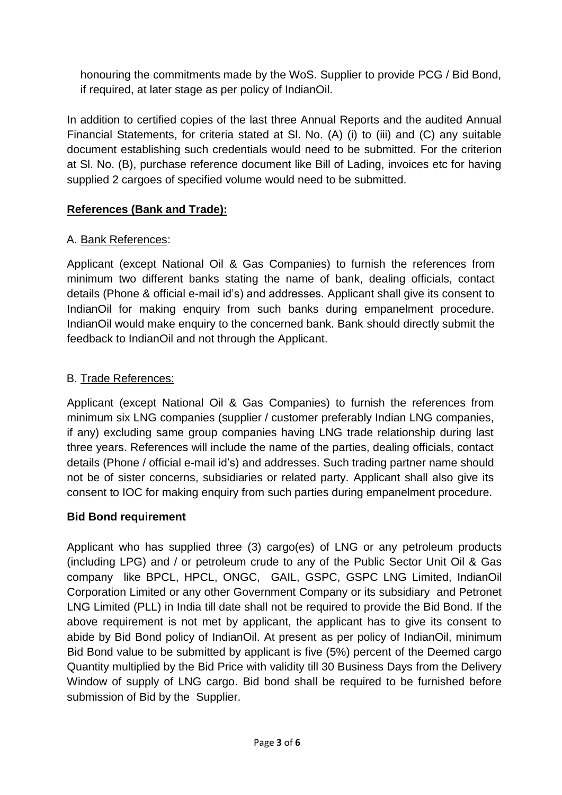honouring the commitments made by the WoS. Supplier to provide PCG / Bid Bond, if required, at later stage as per policy of IndianOil.

In addition to certified copies of the last three Annual Reports and the audited Annual Financial Statements, for criteria stated at Sl. No. (A) (i) to (iii) and (C) any suitable document establishing such credentials would need to be submitted. For the criterion at Sl. No. (B), purchase reference document like Bill of Lading, invoices etc for having supplied 2 cargoes of specified volume would need to be submitted.

## **References (Bank and Trade):**

## A. Bank References:

Applicant (except National Oil & Gas Companies) to furnish the references from minimum two different banks stating the name of bank, dealing officials, contact details (Phone & official e-mail id's) and addresses. Applicant shall give its consent to IndianOil for making enquiry from such banks during empanelment procedure. IndianOil would make enquiry to the concerned bank. Bank should directly submit the feedback to IndianOil and not through the Applicant.

## B. Trade References:

Applicant (except National Oil & Gas Companies) to furnish the references from minimum six LNG companies (supplier / customer preferably Indian LNG companies, if any) excluding same group companies having LNG trade relationship during last three years. References will include the name of the parties, dealing officials, contact details (Phone / official e-mail id's) and addresses. Such trading partner name should not be of sister concerns, subsidiaries or related party. Applicant shall also give its consent to IOC for making enquiry from such parties during empanelment procedure.

### **Bid Bond requirement**

Applicant who has supplied three (3) cargo(es) of LNG or any petroleum products (including LPG) and / or petroleum crude to any of the Public Sector Unit Oil & Gas company like BPCL, HPCL, ONGC, GAIL, GSPC, GSPC LNG Limited, IndianOil Corporation Limited or any other Government Company or its subsidiary and Petronet LNG Limited (PLL) in India till date shall not be required to provide the Bid Bond. If the above requirement is not met by applicant, the applicant has to give its consent to abide by Bid Bond policy of IndianOil. At present as per policy of IndianOil, minimum Bid Bond value to be submitted by applicant is five (5%) percent of the Deemed cargo Quantity multiplied by the Bid Price with validity till 30 Business Days from the Delivery Window of supply of LNG cargo. Bid bond shall be required to be furnished before submission of Bid by the Supplier.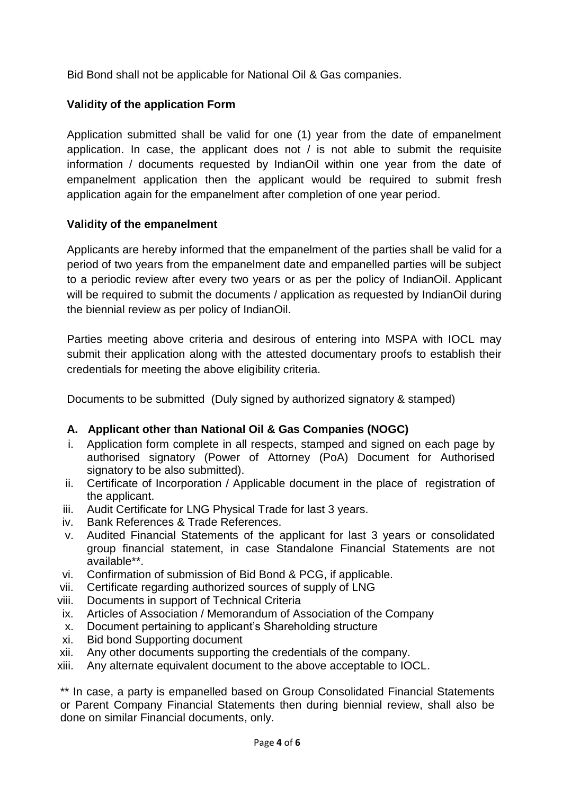Bid Bond shall not be applicable for National Oil & Gas companies.

## **Validity of the application Form**

Application submitted shall be valid for one (1) year from the date of empanelment application. In case, the applicant does not / is not able to submit the requisite information / documents requested by IndianOil within one year from the date of empanelment application then the applicant would be required to submit fresh application again for the empanelment after completion of one year period.

### **Validity of the empanelment**

Applicants are hereby informed that the empanelment of the parties shall be valid for a period of two years from the empanelment date and empanelled parties will be subject to a periodic review after every two years or as per the policy of IndianOil. Applicant will be required to submit the documents / application as requested by IndianOil during the biennial review as per policy of IndianOil.

Parties meeting above criteria and desirous of entering into MSPA with IOCL may submit their application along with the attested documentary proofs to establish their credentials for meeting the above eligibility criteria.

Documents to be submitted (Duly signed by authorized signatory & stamped)

## **A. Applicant other than National Oil & Gas Companies (NOGC)**

- i. Application form complete in all respects, stamped and signed on each page by authorised signatory (Power of Attorney (PoA) Document for Authorised signatory to be also submitted).
- ii. Certificate of Incorporation / Applicable document in the place of registration of the applicant.
- iii. Audit Certificate for LNG Physical Trade for last 3 years.
- iv. Bank References & Trade References.
- v. Audited Financial Statements of the applicant for last 3 years or consolidated group financial statement, in case Standalone Financial Statements are not available\*\*.
- vi. Confirmation of submission of Bid Bond & PCG, if applicable.
- vii. Certificate regarding authorized sources of supply of LNG
- viii. Documents in support of Technical Criteria
- ix. Articles of Association / Memorandum of Association of the Company
- x. Document pertaining to applicant's Shareholding structure
- xi. Bid bond Supporting document
- xii. Any other documents supporting the credentials of the company.
- xiii. Any alternate equivalent document to the above acceptable to IOCL.

\*\* In case, a party is empanelled based on Group Consolidated Financial Statements or Parent Company Financial Statements then during biennial review, shall also be done on similar Financial documents, only.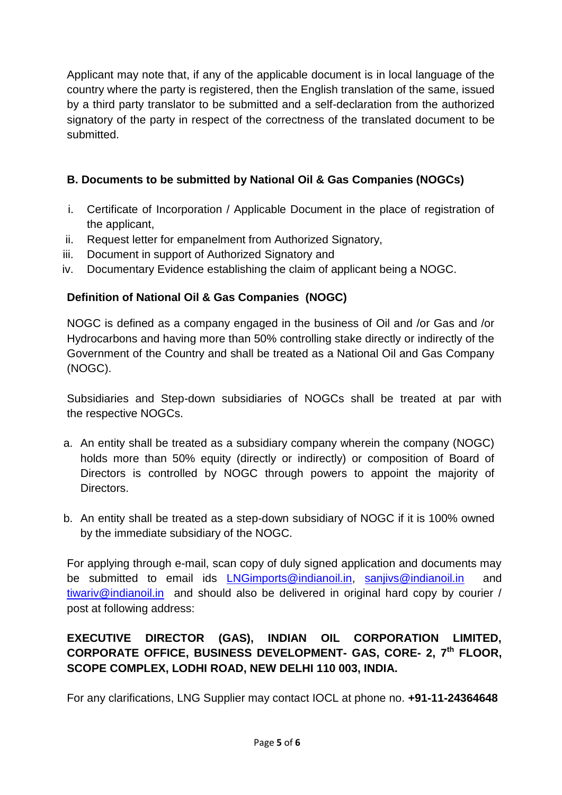Applicant may note that, if any of the applicable document is in local language of the country where the party is registered, then the English translation of the same, issued by a third party translator to be submitted and a self-declaration from the authorized signatory of the party in respect of the correctness of the translated document to be submitted.

# **B. Documents to be submitted by National Oil & Gas Companies (NOGCs)**

- i. Certificate of Incorporation / Applicable Document in the place of registration of the applicant,
- ii. Request letter for empanelment from Authorized Signatory,
- iii. Document in support of Authorized Signatory and
- iv. Documentary Evidence establishing the claim of applicant being a NOGC.

# **Definition of National Oil & Gas Companies (NOGC)**

NOGC is defined as a company engaged in the business of Oil and /or Gas and /or Hydrocarbons and having more than 50% controlling stake directly or indirectly of the Government of the Country and shall be treated as a National Oil and Gas Company (NOGC).

Subsidiaries and Step-down subsidiaries of NOGCs shall be treated at par with the respective NOGCs.

- a. An entity shall be treated as a subsidiary company wherein the company (NOGC) holds more than 50% equity (directly or indirectly) or composition of Board of Directors is controlled by NOGC through powers to appoint the majority of **Directors**
- b. An entity shall be treated as a step-down subsidiary of NOGC if it is 100% owned by the immediate subsidiary of the NOGC.

For applying through e-mail, scan copy of duly signed application and documents may be submitted to email ids LN[Gimports@indianoil.in,](mailto:imports@indianoil.in) [sanjivs@indianoil.in](mailto:sanjivs@indianoil.in) and [tiwariv@indianoil.in](mailto:tiwariv@indianoil.in) and should also be delivered in original hard copy by courier / post at following address:

# **EXECUTIVE DIRECTOR (GAS), INDIAN OIL CORPORATION LIMITED, CORPORATE OFFICE, BUSINESS DEVELOPMENT- GAS, CORE- 2, 7 th FLOOR, SCOPE COMPLEX, LODHI ROAD, NEW DELHI 110 003, INDIA.**

For any clarifications, LNG Supplier may contact IOCL at phone no. **+91-11-24364648**